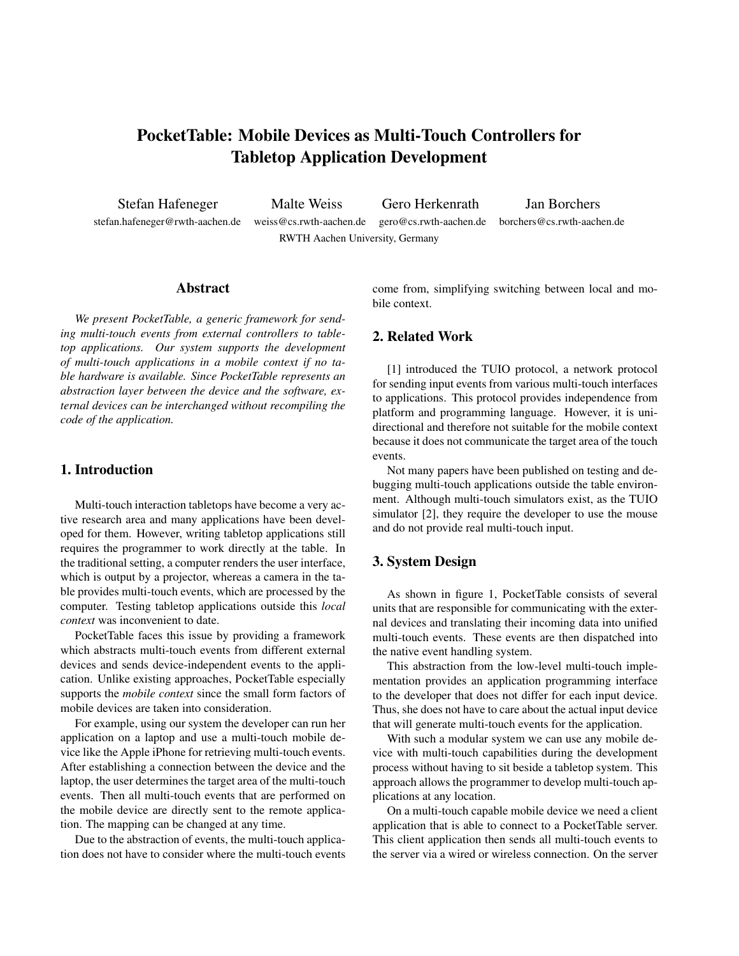# PocketTable: Mobile Devices as Multi-Touch Controllers for Tabletop Application Development

Stefan Hafeneger Malte Weiss Gero Herkenrath Jan Borchers

stefan.hafeneger@rwth-aachen.de weiss@cs.rwth-aachen.de gero@cs.rwth-aachen.de borchers@cs.rwth-aachen.de RWTH Aachen University, Germany

## Abstract

*We present PocketTable, a generic framework for sending multi-touch events from external controllers to tabletop applications. Our system supports the development of multi-touch applications in a mobile context if no table hardware is available. Since PocketTable represents an abstraction layer between the device and the software, external devices can be interchanged without recompiling the code of the application.*

## 1. Introduction

Multi-touch interaction tabletops have become a very active research area and many applications have been developed for them. However, writing tabletop applications still requires the programmer to work directly at the table. In the traditional setting, a computer renders the user interface, which is output by a projector, whereas a camera in the table provides multi-touch events, which are processed by the computer. Testing tabletop applications outside this *local context* was inconvenient to date.

PocketTable faces this issue by providing a framework which abstracts multi-touch events from different external devices and sends device-independent events to the application. Unlike existing approaches, PocketTable especially supports the *mobile context* since the small form factors of mobile devices are taken into consideration.

For example, using our system the developer can run her application on a laptop and use a multi-touch mobile device like the Apple iPhone for retrieving multi-touch events. After establishing a connection between the device and the laptop, the user determines the target area of the multi-touch events. Then all multi-touch events that are performed on the mobile device are directly sent to the remote application. The mapping can be changed at any time.

Due to the abstraction of events, the multi-touch application does not have to consider where the multi-touch events come from, simplifying switching between local and mobile context.

# 2. Related Work

[1] introduced the TUIO protocol, a network protocol for sending input events from various multi-touch interfaces to applications. This protocol provides independence from platform and programming language. However, it is unidirectional and therefore not suitable for the mobile context because it does not communicate the target area of the touch events.

Not many papers have been published on testing and debugging multi-touch applications outside the table environment. Although multi-touch simulators exist, as the TUIO simulator [2], they require the developer to use the mouse and do not provide real multi-touch input.

# 3. System Design

As shown in figure 1, PocketTable consists of several units that are responsible for communicating with the external devices and translating their incoming data into unified multi-touch events. These events are then dispatched into the native event handling system.

This abstraction from the low-level multi-touch implementation provides an application programming interface to the developer that does not differ for each input device. Thus, she does not have to care about the actual input device that will generate multi-touch events for the application.

With such a modular system we can use any mobile device with multi-touch capabilities during the development process without having to sit beside a tabletop system. This approach allows the programmer to develop multi-touch applications at any location.

On a multi-touch capable mobile device we need a client application that is able to connect to a PocketTable server. This client application then sends all multi-touch events to the server via a wired or wireless connection. On the server